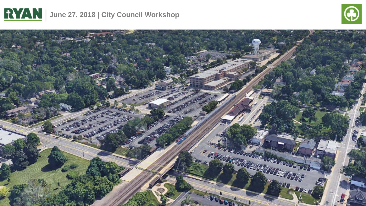



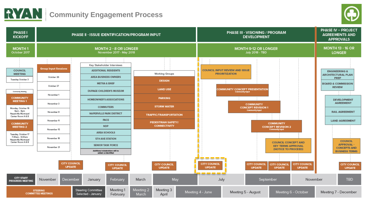



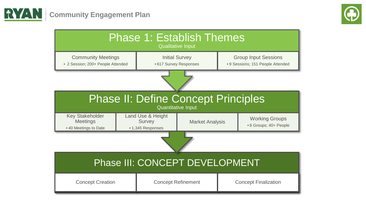



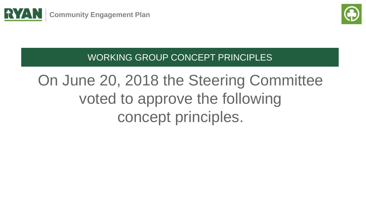



WORKING GROUP CONCEPT PRINCIPLES

# On June 20, 2018 the Steering Committee voted to approve the following concept principles.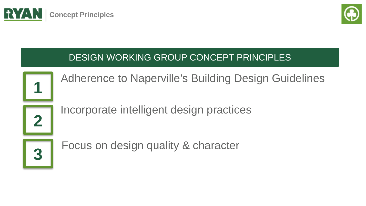



# DESIGN WORKING GROUP CONCEPT PRINCIPLES



Adherence to Naperville's Building Design Guidelines

**2**

Incorporate intelligent design practices



Focus on design quality & character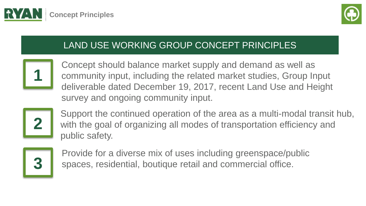



# LAND USE WORKING GROUP CONCEPT PRINCIPLES



Concept should balance market supply and demand as well as community input, including the related market studies, Group Input deliverable dated December 19, 2017, recent Land Use and Height survey and ongoing community input.



Support the continued operation of the area as a multi-modal transit hub, with the goal of organizing all modes of transportation efficiency and public safety.



Provide for a diverse mix of uses including greenspace/public spaces, residential, boutique retail and commercial office.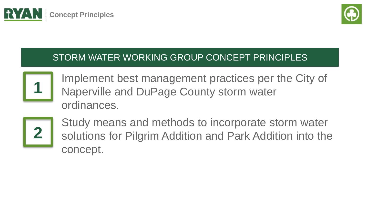



# STORM WATER WORKING GROUP CONCEPT PRINCIPLES



Implement best management practices per the City of Naperville and DuPage County storm water ordinances.



Study means and methods to incorporate storm water solutions for Pilgrim Addition and Park Addition into the concept.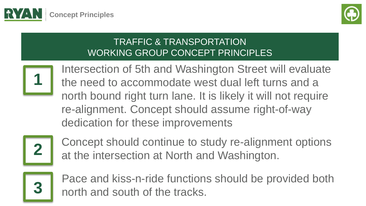



## TRAFFIC & TRANSPORTATION WORKING GROUP CONCEPT PRINCIPLES



Intersection of 5th and Washington Street will evaluate the need to accommodate west dual left turns and a north bound right turn lane. It is likely it will not require re-alignment. Concept should assume right-of-way dedication for these improvements



Concept should continue to study re-alignment options at the intersection at North and Washington.



 $\Box$   $\Box$  Inorth and south of the tracks. Pace and kiss-n-ride functions should be provided both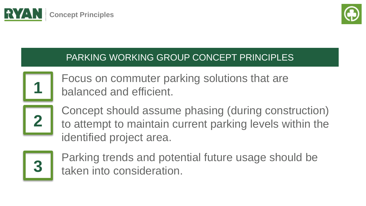



## PARKING WORKING GROUP CONCEPT PRINCIPLES



Focus on commuter parking solutions that are balanced and efficient.



Concept should assume phasing (during construction) to attempt to maintain current parking levels within the identified project area.



Parking trends and potential future usage should be taken into consideration.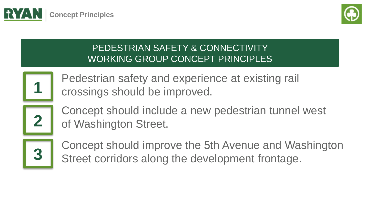



## PEDESTRIAN SAFETY & CONNECTIVITY WORKING GROUP CONCEPT PRINCIPLES



Pedestrian safety and experience at existing rail crossings should be improved.



Concept should include a new pedestrian tunnel west of Washington Street.



Concept should improve the 5th Avenue and Washington Street corridors along the development frontage.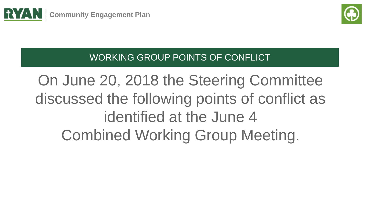



WORKING GROUP POINTS OF CONFLICT

On June 20, 2018 the Steering Committee discussed the following points of conflict as identified at the June 4 Combined Working Group Meeting.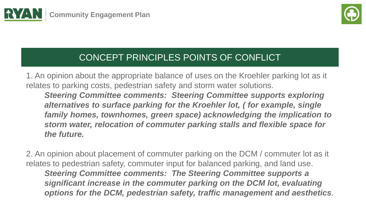



1. An opinion about the appropriate balance of uses on the Kroehler parking lot as it relates to parking costs, pedestrian safety and storm water solutions. *Steering Committee comments: Steering Committee supports exploring alternatives to surface parking for the Kroehler lot, ( for example, single family homes, townhomes, green space) acknowledging the implication to storm water, relocation of commuter parking stalls and flexible space for the future.*

*options for the DCM, pedestrian safety, traffic management and aesthetics.* 2. An opinion about placement of commuter parking on the DCM / commuter lot as it relates to pedestrian safety, commuter input for balanced parking, and land use. *Steering Committee comments: The Steering Committee supports a significant increase in the commuter parking on the DCM lot, evaluating*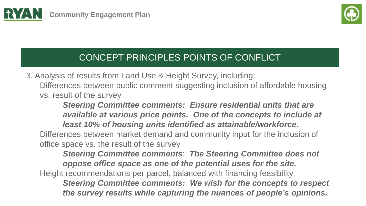



3. Analysis of results from Land Use & Height Survey, including: Differences between public comment suggesting inclusion of affordable housing vs. result of the survey

*Steering Committee comments: Ensure residential units that are available at various price points. One of the concepts to include at least 10% of housing units identified as attainable/workforce.* Differences between market demand and community input for the inclusion of office space vs. the result of the survey

*the survey results while capturing the nuances of people's opinions. Steering Committee comments*: *The Steering Committee does not oppose office space as one of the potential uses for the site.* Height recommendations per parcel, balanced with financing feasibility *Steering Committee comments: We wish for the concepts to respect*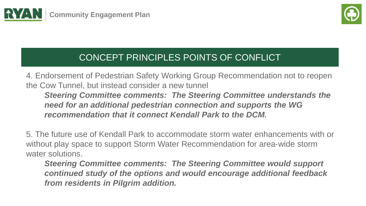



4. Endorsement of Pedestrian Safety Working Group Recommendation not to reopen the Cow Tunnel, but instead consider a new tunnel *Steering Committee comments: The Steering Committee understands the need for an additional pedestrian connection and supports the WG recommendation that it connect Kendall Park to the DCM.*

5. The future use of Kendall Park to accommodate storm water enhancements with or without play space to support Storm Water Recommendation for area-wide storm water solutions.

*Steering Committee comments: The Steering Committee would support continued study of the options and would encourage additional feedback from residents in Pilgrim addition.*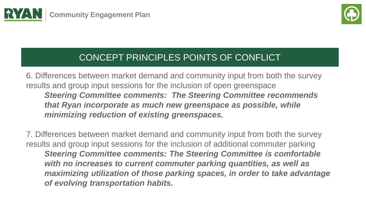



6. Differences between market demand and community input from both the survey results and group input sessions for the inclusion of open greenspace *Steering Committee comments: The Steering Committee recommends that Ryan incorporate as much new greenspace as possible, while minimizing reduction of existing greenspaces.*

7. Differences between market demand and community input from both the survey results and group input sessions for the inclusion of additional commuter parking *Steering Committee comments: The Steering Committee is comfortable with no increases to current commuter parking quantities, as well as maximizing utilization of those parking spaces, in order to take advantage of evolving transportation habits.*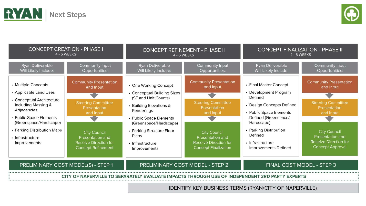



| <b>CONCEPT CREATION - PHASE I</b><br>4 - 6 WEEKS                                                                                                                                                                                         |                                                                                                                                                                                                              | <b>CONCEPT REFINEMENT - PHASE II</b><br><b>4 - 6 WEEKS</b>                                                                                                                                                                                           |                                                                                                                                                                                                                | <b>CONCEPT FINALIZATION - PHASE III</b><br><b>4 - 6 WEEKS</b>                                                                                                                                                                             |                                                                                                                                                                                                                   |
|------------------------------------------------------------------------------------------------------------------------------------------------------------------------------------------------------------------------------------------|--------------------------------------------------------------------------------------------------------------------------------------------------------------------------------------------------------------|------------------------------------------------------------------------------------------------------------------------------------------------------------------------------------------------------------------------------------------------------|----------------------------------------------------------------------------------------------------------------------------------------------------------------------------------------------------------------|-------------------------------------------------------------------------------------------------------------------------------------------------------------------------------------------------------------------------------------------|-------------------------------------------------------------------------------------------------------------------------------------------------------------------------------------------------------------------|
| Ryan Deliverable<br>Will Likely Include:                                                                                                                                                                                                 | Community Input<br>Opportunities:                                                                                                                                                                            | Ryan Deliverable<br>Will Likely Include:                                                                                                                                                                                                             | Community Input<br>Opportunities:                                                                                                                                                                              | Ryan Deliverable<br>Will Likely Include:                                                                                                                                                                                                  | Community Input<br>Opportunities:                                                                                                                                                                                 |
| • Multiple Concepts<br>• Applicable Land Uses<br>• Conceptual Architecture<br>Including Massing &<br>Adjacencies<br>• Public Space Elements<br>(Greenspace/Hardscape)<br>• Parking Distribution Maps<br>· Infrastructure<br>Improvements | <b>Community Presentation</b><br>and Input<br><b>Steering Committee</b><br>Presentation<br>and Input<br><b>City Council</b><br>Presentation and<br><b>Receive Direction for</b><br><b>Concept Refinement</b> | • One Working Concept<br>• Conceptual Building Sizes<br>(SF and Unit Counts)<br>• Building Elevations &<br>Renderings<br>• Public Space Elements<br>(Greenspace/Hardscape)<br>• Parking Structure Floor<br>Plans<br>• Infrastructure<br>Improvements | <b>Community Presentation</b><br>and Input<br><b>Steering Committee</b><br>Presentation<br>and Input<br><b>City Council</b><br>Presentation and<br><b>Receive Direction for</b><br><b>Concept Finalization</b> | • Final Master Concept<br>• Development Program<br>Defined<br>• Design Concepts Defined<br>• Public Space Elements<br>Defined (Greenspace/<br>Hardscape)<br>• Parking Distribution<br>Defined<br>• Infrastructure<br>Improvements Defined | <b>Community Presentation</b><br>and Input<br><b>Steering Committee</b><br><b>Presentation</b><br>and Input<br><b>City Council</b><br>Presentation and<br><b>Receive Direction for</b><br><b>Concept Approval</b> |
| PRELIMINARY COST MODEL(S) - STEP 1                                                                                                                                                                                                       |                                                                                                                                                                                                              | PRELIMINARY COST MODEL - STEP 2                                                                                                                                                                                                                      |                                                                                                                                                                                                                | FINAL COST MODEL - STEP 3                                                                                                                                                                                                                 |                                                                                                                                                                                                                   |
| <b>FVALUATE IMPACTS THROUGH USE OF INDEPENDENT 3RD PARTY EXPERTS</b><br>IDENTIEV KEV BLICINECC TEDMC (DVANI/CITV OF NADEDVILLE)                                                                                                          |                                                                                                                                                                                                              |                                                                                                                                                                                                                                                      |                                                                                                                                                                                                                |                                                                                                                                                                                                                                           |                                                                                                                                                                                                                   |

**IDENTIFY KEY BUSINESS TERMS (RYAN/CITY OF NAPERVILLE)**  $\mathcal{C}$  rean Companies US, Inc. Content cannot be used with permission and expressed written consent. In consent